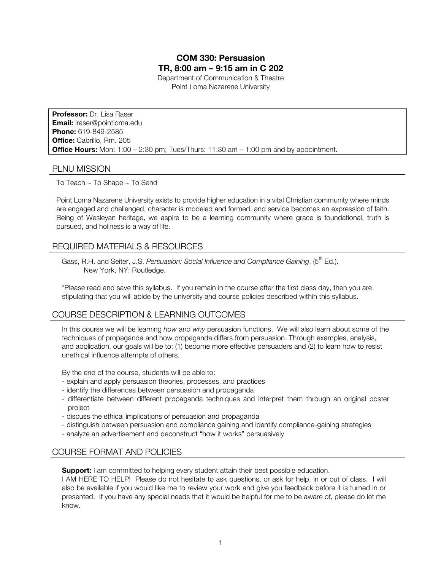# **COM 330: Persuasion TR, 8:00 am – 9:15 am in C 202**

Department of Communication & Theatre Point Loma Nazarene University

**Professor:** Dr. Lisa Raser **Email:** lraser@pointloma.edu **Phone:** 619-849-2585 **Office:** Cabrillo, Rm. 205 **Office Hours:** Mon: 1:00 – 2:30 pm; Tues/Thurs: 11:30 am – 1:00 pm and by appointment.

## PLNU MISSION

To Teach ~ To Shape ~ To Send

Point Loma Nazarene University exists to provide higher education in a vital Christian community where minds are engaged and challenged, character is modeled and formed, and service becomes an expression of faith. Being of Wesleyan heritage, we aspire to be a learning community where grace is foundational, truth is pursued, and holiness is a way of life.

## REQUIRED MATERIALS & RESOURCES

Gass, R.H. and Seiter, J.S. Persuasion: Social Influence and Compliance Gaining. (5<sup>th</sup> Ed.). New York, NY: Routledge.

\*Please read and save this syllabus. If you remain in the course after the first class day, then you are stipulating that you will abide by the university and course policies described within this syllabus.

## COURSE DESCRIPTION & LEARNING OUTCOMES

In this course we will be learning *how* and *why* persuasion functions. We will also learn about some of the techniques of propaganda and how propaganda differs from persuasion. Through examples, analysis, and application, our goals will be to: (1) become more effective persuaders and (2) to learn how to resist unethical influence attempts of others.

By the end of the course, students will be able to:

- explain and apply persuasion theories, processes, and practices
- identify the differences between persuasion and propaganda
- differentiate between different propaganda techniques and interpret them through an original poster project
- discuss the ethical implications of persuasion and propaganda
- distinguish between persuasion and compliance gaining and identify compliance-gaining strategies
- analyze an advertisement and deconstruct "how it works" persuasively

## COURSE FORMAT AND POLICIES

**Support:** I am committed to helping every student attain their best possible education.

I AM HERE TO HELP! Please do not hesitate to ask questions, or ask for help, in or out of class. I will also be available if you would like me to review your work and give you feedback before it is turned in or presented. If you have any special needs that it would be helpful for me to be aware of, please do let me know.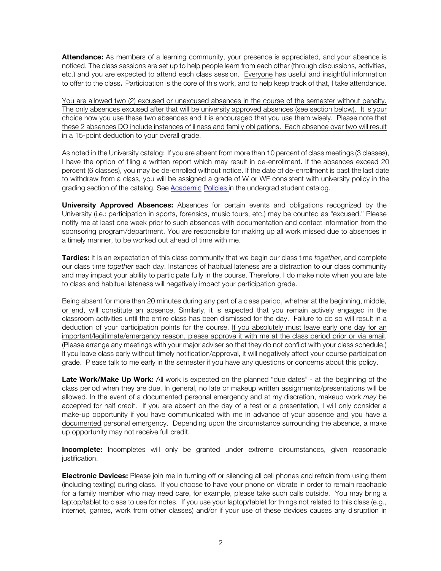**Attendance:** As members of a learning community, your presence is appreciated, and your absence is noticed. The class sessions are set up to help people learn from each other (through discussions, activities, etc.) and you are expected to attend each class session. Everyone has useful and insightful information to offer to the class. Participation is the core of this work, and to help keep track of that, I take attendance.

You are allowed two (2) excused or unexcused absences in the course of the semester without penalty. The only absences excused after that will be university approved absences (see section below). It is your choice how you use these two absences and it is encouraged that you use them wisely. Please note that these 2 absences DO include instances of illness and family obligations. Each absence over two will result in a 15-point deduction to your overall grade.

As noted in the University catalog: If you are absent from more than 10 percent of class meetings (3 classes), I have the option of filing a written report which may result in de-enrollment. If the absences exceed 20 percent (6 classes), you may be de-enrolled without notice. If the date of de-enrollment is past the last date to withdraw from a class, you will be assigned a grade of W or WF consistent with university policy in the grading section of the catalog. See Academic Policies in the undergrad student catalog.

**University Approved Absences:** Absences for certain events and obligations recognized by the University (i.e.: participation in sports, forensics, music tours, etc.) may be counted as "excused." Please notify me at least one week prior to such absences with documentation and contact information from the sponsoring program/department. You are responsible for making up all work missed due to absences in a timely manner, to be worked out ahead of time with me.

**Tardies:** It is an expectation of this class community that we begin our class time *together*, and complete our class time *together* each day. Instances of habitual lateness are a distraction to our class community and may impact your ability to participate fully in the course. Therefore, I do make note when you are late to class and habitual lateness will negatively impact your participation grade.

Being absent for more than 20 minutes during any part of a class period, whether at the beginning, middle, or end, will constitute an absence. Similarly, it is expected that you remain actively engaged in the classroom activities until the entire class has been dismissed for the day. Failure to do so will result in a deduction of your participation points for the course. If you absolutely must leave early one day for an important/legitimate/emergency reason, please approve it with me at the class period prior or via email. (Please arrange any meetings with your major adviser so that they do not conflict with your class schedule.) If you leave class early without timely notification/approval, it will negatively affect your course participation grade. Please talk to me early in the semester if you have any questions or concerns about this policy.

**Late Work/Make Up Work:** All work is expected on the planned "due dates" - at the beginning of the class period when they are due. In general, no late or makeup written assignments/presentations will be allowed. In the event of a documented personal emergency and at my discretion, makeup work *may* be accepted for half credit. If you are absent on the day of a test or a presentation, I will only consider a make-up opportunity if you have communicated with me in advance of your absence and you have a documented personal emergency. Depending upon the circumstance surrounding the absence, a make up opportunity may not receive full credit.

**Incomplete:** Incompletes will only be granted under extreme circumstances, given reasonable justification.

**Electronic Devices:** Please join me in turning off or silencing all cell phones and refrain from using them (including texting) during class. If you choose to have your phone on vibrate in order to remain reachable for a family member who may need care, for example, please take such calls outside. You may bring a laptop/tablet to class to use for notes. If you use your laptop/tablet for things not related to this class (e.g., internet, games, work from other classes) and/or if your use of these devices causes any disruption in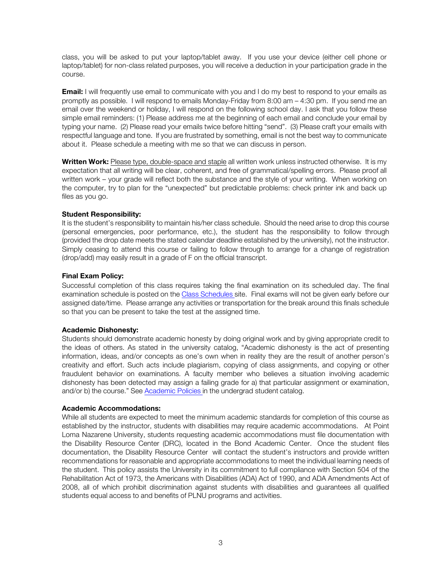class, you will be asked to put your laptop/tablet away. If you use your device (either cell phone or laptop/tablet) for non-class related purposes, you will receive a deduction in your participation grade in the course.

**Email:** I will frequently use email to communicate with you and I do my best to respond to your emails as promptly as possible. I will respond to emails Monday-Friday from 8:00 am – 4:30 pm. If you send me an email over the weekend or holiday, I will respond on the following school day. I ask that you follow these simple email reminders: (1) Please address me at the beginning of each email and conclude your email by typing your name. (2) Please read your emails twice before hitting "send". (3) Please craft your emails with respectful language and tone. If you are frustrated by something, email is not the best way to communicate about it. Please schedule a meeting with me so that we can discuss in person.

**Written Work:** Please type, double-space and staple all written work unless instructed otherwise.It is my expectation that all writing will be clear, coherent, and free of grammatical/spelling errors. Please proof all written work – your grade will reflect both the substance and the style of your writing. When working on the computer, try to plan for the "unexpected" but predictable problems: check printer ink and back up files as you go.

#### **Student Responsibility:**

It is the student's responsibility to maintain his/her class schedule. Should the need arise to drop this course (personal emergencies, poor performance, etc.), the student has the responsibility to follow through (provided the drop date meets the stated calendar deadline established by the university), not the instructor. Simply ceasing to attend this course or failing to follow through to arrange for a change of registration (drop/add) may easily result in a grade of F on the official transcript.

#### **Final Exam Policy:**

Successful completion of this class requires taking the final examination on its scheduled day. The final examination schedule is posted on the Class Schedules site. Final exams will not be given early before our assigned date/time. Please arrange any activities or transportation for the break around this finals schedule so that you can be present to take the test at the assigned time.

#### **Academic Dishonesty:**

Students should demonstrate academic honesty by doing original work and by giving appropriate credit to the ideas of others. As stated in the university catalog, "Academic dishonesty is the act of presenting information, ideas, and/or concepts as one's own when in reality they are the result of another person's creativity and effort. Such acts include plagiarism, copying of class assignments, and copying or other fraudulent behavior on examinations. A faculty member who believes a situation involving academic dishonesty has been detected may assign a failing grade for a) that particular assignment or examination, and/or b) the course." See Academic Policies in the undergrad student catalog.

#### **Academic Accommodations:**

While all students are expected to meet the minimum academic standards for completion of this course as established by the instructor, students with disabilities may require academic accommodations. At Point Loma Nazarene University, students requesting academic accommodations must file documentation with the Disability Resource Center (DRC), located in the Bond Academic Center. Once the student files documentation, the Disability Resource Center will contact the student's instructors and provide written recommendations for reasonable and appropriate accommodations to meet the individual learning needs of the student. This policy assists the University in its commitment to full compliance with Section 504 of the Rehabilitation Act of 1973, the Americans with Disabilities (ADA) Act of 1990, and ADA Amendments Act of 2008, all of which prohibit discrimination against students with disabilities and guarantees all qualified students equal access to and benefits of PLNU programs and activities.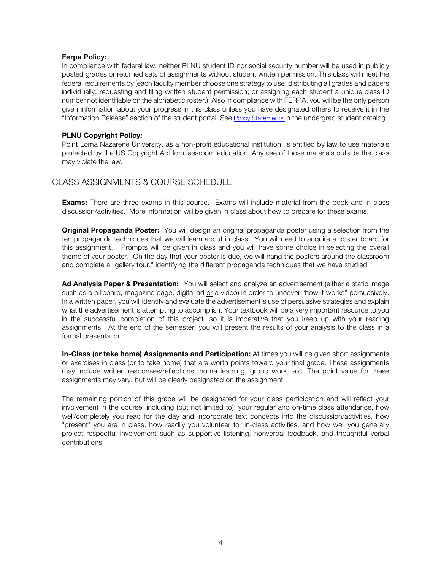#### **Ferpa Policy:**

In compliance with federal law, neither PLNU student ID nor social security number will be used in publicly posted grades or returned sets of assignments without student written permission. This class will meet the federal requirements by (each faculty member choose one strategy to use: distributing all grades and papers individually; requesting and filing written student permission; or assigning each student a unique class ID number not identifiable on the alphabetic roster.). Also in compliance with FERPA, you will be the only person given information about your progress in this class unless you have designated others to receive it in the "Information Release" section of the student portal. See Policy Statements in the undergrad student catalog.

#### **PLNU Copyright Policy:**

Point Loma Nazarene University, as a non-profit educational institution, is entitled by law to use materials protected by the US Copyright Act for classroom education. Any use of those materials outside the class may violate the law.

## CLASS ASSIGNMENTS & COURSE SCHEDULE

**Exams:** There are three exams in this course. Exams will include material from the book and in-class discussion/activities. More information will be given in class about how to prepare for these exams.

**Original Propaganda Poster:** You will design an original propaganda poster using a selection from the ten propaganda techniques that we will learn about in class. You will need to acquire a poster board for this assignment. Prompts will be given in class and you will have some choice in selecting the overall theme of your poster. On the day that your poster is due, we will hang the posters around the classroom and complete a "gallery tour," identifying the different propaganda techniques that we have studied.

**Ad Analysis Paper & Presentation:** You will select and analyze an advertisement (either a static image such as a billboard, magazine page, digital ad or a video) in order to uncover "how it works" persuasively. In a written paper, you will identify and evaluate the advertisement's use of persuasive strategies and explain what the advertisement is attempting to accomplish. Your textbook will be a very important resource to you in the successful completion of this project, so it is imperative that you keep up with your reading assignments. At the end of the semester, you will present the results of your analysis to the class in a formal presentation.

**In-Class (or take home) Assignments and Participation:** At times you will be given short assignments or exercises in class (or to take home) that are worth points toward your final grade. These assignments may include written responses/reflections, home learning, group work, etc. The point value for these assignments may vary, but will be clearly designated on the assignment.

The remaining portion of this grade will be designated for your class participation and will reflect your involvement in the course, including (but not limited to): your regular and on-time class attendance, how well/completely you read for the day and incorporate text concepts into the discussion/activities, how "present" you are in class, how readily you volunteer for in-class activities, and how well you generally project respectful involvement such as supportive listening, nonverbal feedback, and thoughtful verbal contributions.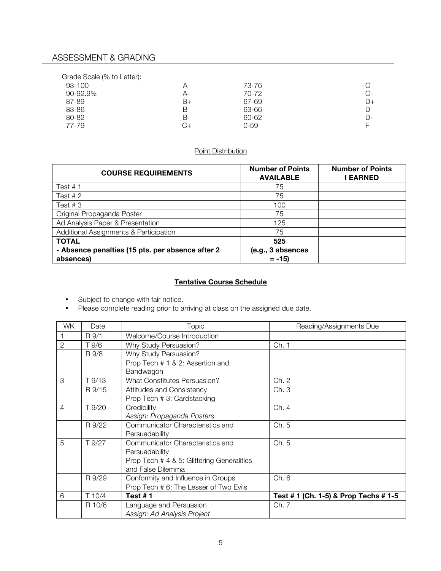# ASSESSMENT & GRADING

| Grade Scale (% to Letter): |    |           |       |
|----------------------------|----|-----------|-------|
| 93-100                     |    | 73-76     | С     |
| 90-92.9%                   | А- | 70-72     | C-    |
| 87-89                      | B+ | 67-69     | D+    |
| 83-86                      | В  | 63-66     | D     |
| 80-82                      | В- | $60 - 62$ | $D$ - |
| 77-79                      | G+ | 0-59      |       |

## Point Distribution

| <b>COURSE REQUIREMENTS</b>                       | <b>Number of Points</b><br><b>AVAILABLE</b> | <b>Number of Points</b><br><b>LEARNED</b> |
|--------------------------------------------------|---------------------------------------------|-------------------------------------------|
| Test $# 1$                                       | 75                                          |                                           |
| Test $# 2$                                       | 75                                          |                                           |
| Test $#3$                                        | 100                                         |                                           |
| Original Propaganda Poster                       | 75                                          |                                           |
| Ad Analysis Paper & Presentation                 | 125                                         |                                           |
| Additional Assignments & Participation           | 75                                          |                                           |
| <b>TOTAL</b>                                     | 525                                         |                                           |
| - Absence penalties (15 pts. per absence after 2 | (e.g., 3 absences                           |                                           |
| absences)                                        | $= -15$                                     |                                           |

## **Tentative Course Schedule**

- Subject to change with fair notice.
- Please complete reading prior to arriving at class on the assigned due date.

| WK.            | Date   | Topic                                      | Reading/Assignments Due               |
|----------------|--------|--------------------------------------------|---------------------------------------|
|                | R 9/1  | Welcome/Course Introduction                |                                       |
| $\overline{2}$ | T 9/6  | Why Study Persuasion?                      | Ch. 1                                 |
|                | R 9/8  | Why Study Persuasion?                      |                                       |
|                |        | Prop Tech # 1 & 2: Assertion and           |                                       |
|                |        | Bandwagon                                  |                                       |
| 3              | T 9/13 | What Constitutes Persuasion?               | Ch. 2                                 |
|                | R 9/15 | Attitudes and Consistency                  | Ch.3                                  |
|                |        | Prop Tech # 3: Cardstacking                |                                       |
| $\overline{4}$ | T 9/20 | Credibility                                | Ch. 4                                 |
|                |        | Assign: Propaganda Posters                 |                                       |
|                | R 9/22 | Communicator Characteristics and           | Ch. 5                                 |
|                |        | Persuadability                             |                                       |
| 5              | T 9/27 | Communicator Characteristics and           | Ch. 5                                 |
|                |        | Persuadability                             |                                       |
|                |        | Prop Tech # 4 & 5: Glittering Generalities |                                       |
|                |        | and False Dilemma                          |                                       |
|                | R 9/29 | Conformity and Influence in Groups         | Ch. 6                                 |
|                |        | Prop Tech # 6: The Lesser of Two Evils     |                                       |
| 6              | T10/4  | Test $# 1$                                 | Test # 1 (Ch. 1-5) & Prop Techs # 1-5 |
|                | R 10/6 | Language and Persuasion                    | Ch. 7                                 |
|                |        | Assign: Ad Analysis Project                |                                       |